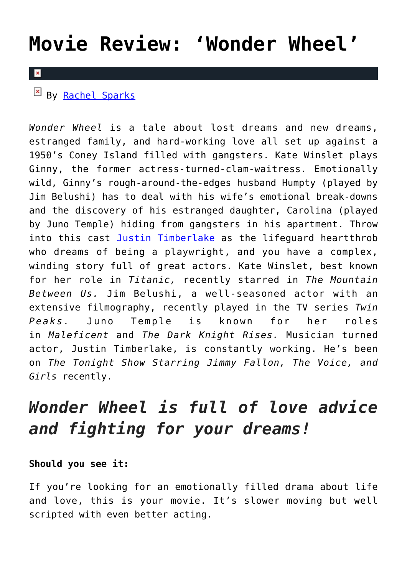# **[Movie Review: 'Wonder Wheel'](https://cupidspulse.com/121720/movie-review-wonder-wheel/)**

#### $\overline{\mathbf{x}}$

### By [Rachel Sparks](http://cupidspulse.com/121112/rachel-sparks/)

*Wonder Wheel* is a tale about lost dreams and new dreams, estranged family, and hard-working love all set up against a 1950's Coney Island filled with gangsters. Kate Winslet plays Ginny, the former actress-turned-clam-waitress. Emotionally wild, Ginny's rough-around-the-edges husband Humpty (played by Jim Belushi) has to deal with his wife's emotional break-downs and the discovery of his estranged daughter, Carolina (played by Juno Temple) hiding from gangsters in his apartment. Throw into this cast [Justin Timberlake](http://cupidspulse.com/87037/justin-timberlake/) as the lifeguard heartthrob who dreams of being a playwright, and you have a complex, winding story full of great actors. Kate Winslet, best known for her role in *Titanic,* recently starred in *The Mountain Between Us.* Jim Belushi, a well-seasoned actor with an extensive filmography, recently played in the TV series *Twin Peaks.* Juno Temple is known for her roles in *Maleficent* and *The Dark Knight Rises.* Musician turned actor, Justin Timberlake, is constantly working. He's been on *The Tonight Show Starring Jimmy Fallon, The Voice, and Girls* recently.

## *Wonder Wheel is full of love advice and fighting for your dreams!*

### **Should you see it:**

If you're looking for an emotionally filled drama about life and love, this is your movie. It's slower moving but well scripted with even better acting.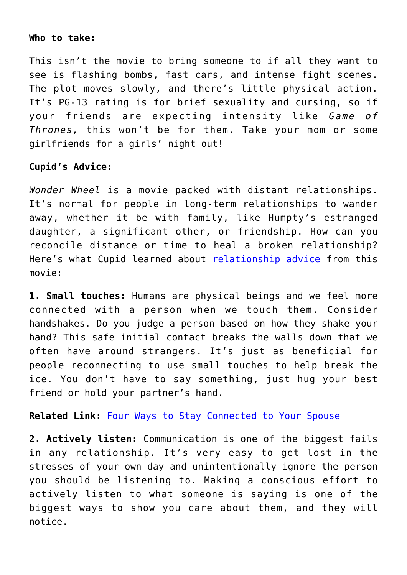### **Who to take:**

This isn't the movie to bring someone to if all they want to see is flashing bombs, fast cars, and intense fight scenes. The plot moves slowly, and there's little physical action. It's PG-13 rating is for brief sexuality and cursing, so if your friends are expecting intensity like *Game of Thrones,* this won't be for them. Take your mom or some girlfriends for a girls' night out!

### **Cupid's Advice:**

*Wonder Wheel* is a movie packed with distant relationships. It's normal for people in long-term relationships to wander away, whether it be with family, like Humpty's estranged daughter, a significant other, or friendship. How can you reconcile distance or time to heal a broken relationship? Here's what Cupid learned about [relationship advice](http://cupidspulse.com/relationship-experts/) from this movie:

**1. Small touches:** Humans are physical beings and we feel more connected with a person when we touch them. Consider handshakes. Do you judge a person based on how they shake your hand? This safe initial contact breaks the walls down that we often have around strangers. It's just as beneficial for people reconnecting to use small touches to help break the ice. You don't have to say something, just hug your best friend or hold your partner's hand.

**Related Link:** [Four Ways to Stay Connected to Your Spouse](http://cupidspulse.com/79708/stay-connected-to-your-spouse/)

**2. Actively listen:** Communication is one of the biggest fails in any relationship. It's very easy to get lost in the stresses of your own day and unintentionally ignore the person you should be listening to. Making a conscious effort to actively listen to what someone is saying is one of the biggest ways to show you care about them, and they will notice.